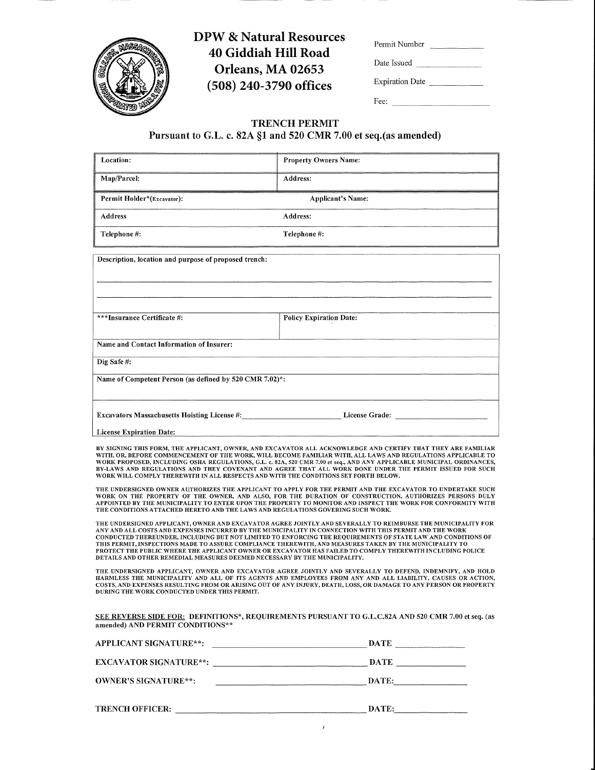

# **DPW & Natural Resources** 40 Giddiah Hill Road Orleans, MA 02653 (508) 240-3790 offices

| Permit Number          |  |
|------------------------|--|
| Date Issued            |  |
| <b>Expiration Date</b> |  |

Fee:  $\qquad \qquad$ 

 $\overline{\mathbb{F}}$ 

# **TRENCH PERMIT**

# Pursuant to G.L. c. 82A §1 and 520 CMR 7.00 et seq.(as amended)

| Location:                                                                                                                                                                                                                                                                                                                                                                                                                                                                                                                                                                                                                                    | <b>Property Owners Name:</b>                      |
|----------------------------------------------------------------------------------------------------------------------------------------------------------------------------------------------------------------------------------------------------------------------------------------------------------------------------------------------------------------------------------------------------------------------------------------------------------------------------------------------------------------------------------------------------------------------------------------------------------------------------------------------|---------------------------------------------------|
| Map/Parcel:                                                                                                                                                                                                                                                                                                                                                                                                                                                                                                                                                                                                                                  | Address:                                          |
| Permit Holder*(Excavator):                                                                                                                                                                                                                                                                                                                                                                                                                                                                                                                                                                                                                   | <b>Applicant's Name:</b>                          |
| <b>Address</b>                                                                                                                                                                                                                                                                                                                                                                                                                                                                                                                                                                                                                               | Address:                                          |
| Telephone #:                                                                                                                                                                                                                                                                                                                                                                                                                                                                                                                                                                                                                                 | Telephone #:                                      |
| Description, location and purpose of proposed trench:                                                                                                                                                                                                                                                                                                                                                                                                                                                                                                                                                                                        |                                                   |
|                                                                                                                                                                                                                                                                                                                                                                                                                                                                                                                                                                                                                                              |                                                   |
|                                                                                                                                                                                                                                                                                                                                                                                                                                                                                                                                                                                                                                              |                                                   |
| ***Insurance Certificate #:                                                                                                                                                                                                                                                                                                                                                                                                                                                                                                                                                                                                                  | <b>Policy Expiration Date:</b>                    |
|                                                                                                                                                                                                                                                                                                                                                                                                                                                                                                                                                                                                                                              |                                                   |
| Name and Contact Information of Insurer:                                                                                                                                                                                                                                                                                                                                                                                                                                                                                                                                                                                                     |                                                   |
| Dig Safe#:                                                                                                                                                                                                                                                                                                                                                                                                                                                                                                                                                                                                                                   |                                                   |
| Name of Competent Person (as defined by 520 CMR 7.02)*:                                                                                                                                                                                                                                                                                                                                                                                                                                                                                                                                                                                      |                                                   |
|                                                                                                                                                                                                                                                                                                                                                                                                                                                                                                                                                                                                                                              |                                                   |
|                                                                                                                                                                                                                                                                                                                                                                                                                                                                                                                                                                                                                                              |                                                   |
| <b>License Expiration Date:</b>                                                                                                                                                                                                                                                                                                                                                                                                                                                                                                                                                                                                              |                                                   |
| BY SIGNING THIS FORM, THE APPLICANT, OWNER, AND EXCAVATOR ALL ACKNOWLEDGE AND CERTIFY THAT THEY ARE FAMILIAR<br>WITH, OR, BEFORE COMMENCEMENT OF THE WORK, WILL BECOME FAMILIAR WITH, ALL LAWS AND REGULATIONS APPLICABLE TO<br>WORK PROPOSED, INCLUDING OSHA REGULATIONS, G.L. c. 82A, 520 CMR 7.00 et seq., AND ANY APPLICABLE MUNICIPAL ORDINANCES,<br>BY-LAWS AND REGULATIONS AND THEY COVENANT AND AGREE THAT ALL WORK DONE UNDER THE PERMIT ISSUED FOR SUCH<br>WORK WILL COMPLY THEREWITH IN ALL RESPECTS AND WITH THE CONDITIONS SET FORTH BELOW.                                                                                     |                                                   |
| THE UNDERSIGNED OWNER AUTHORIZES THE APPLICANT TO APPLY FOR THE PERMIT AND THE EXCAVATOR TO UNDERTAKE SUCH<br>WORK ON THE PROPERTY OF THE OWNER, AND ALSO, FOR THE DURATION OF CONSTRUCTION, AUTHORIZES PERSONS DULY<br>APPOINTED BY THE MUNICIPALITY TO ENTER UPON THE PROPERTY TO MONITOR AND INSPECT THE WORK FOR CONFORMITY WITH<br>THE CONDITIONS ATTACHED HERETO AND THE LAWS AND REGULATIONS GOVERING SUCH WORK.                                                                                                                                                                                                                      |                                                   |
| THE UNDERSIGNED APPLICANT, OWNER AND EXCAVATOR AGREE JOINTLY AND SEVERALLY TO REIMBURSE THE MUNICIPALITY FOR<br>ANY AND ALL COSTS AND EXPENSES INCURRED BY THE MUNICIPALITY IN CONNECTION WITH THIS PERMIT AND THE WORK<br>CONDUCTED THEREUNDER, INCLUDING BUT NOT LIMITED TO ENFORCING THE REQUIREMENTS OF STATE LAW AND CONDITIONS OF<br>THIS PERMIT, INSPECTIONS MADE TO ASSURE COMPLIANCE THEREWITH, AND MEASURES TAKEN BY THE MUNICIPALITY TO<br>PROTECT THE PUBLIC WHERE THE APPLICANT OWNER OR EXCAVATOR HAS FAILED TO COMPLY THEREWITH INCLUDING POLICE<br>DETAILS AND OTHER REMEDIAL MEASURES DEEMED NECESSARY BY THE MUNICIPALITY. |                                                   |
| THE UNDERSIGNED APPLICANT, OWNER AND EXCAVATOR AGREE JOINTLY AND SEVERALLY TO DEFEND, INDEMNIFY, AND HOLD<br>HARMLESS THE MUNICIPALITY AND ALL OF ITS AGENTS AND EMPLOYEES FROM ANY AND ALL LIABILITY, CAUSES OR ACTION,<br>COSTS, AND EXPENSES RESULTING FROM OR ARISING OUT OF ANY INJURY, DEATH, LOSS, OR DAMAGE TO ANY PERSON OR PROPERTY<br>DURING THE WORK CONDUCTED UNDER THIS PERMIT.                                                                                                                                                                                                                                                |                                                   |
| SEE REVERSE SIDE FOR: DEFINITIONS*, REQUIREMENTS PURSUANT TO G.L.C.82A AND 520 CMR 7.00 et seq. (as<br>amended) AND PERMIT CONDITIONS**                                                                                                                                                                                                                                                                                                                                                                                                                                                                                                      |                                                   |
| <b>APPLICANT SIGNATURE**:</b>                                                                                                                                                                                                                                                                                                                                                                                                                                                                                                                                                                                                                |                                                   |
|                                                                                                                                                                                                                                                                                                                                                                                                                                                                                                                                                                                                                                              |                                                   |
| <b>OWNER'S SIGNATURE**:</b>                                                                                                                                                                                                                                                                                                                                                                                                                                                                                                                                                                                                                  | $\begin{tabular}{c} \textbf{DATE:} \end{tabular}$ |
|                                                                                                                                                                                                                                                                                                                                                                                                                                                                                                                                                                                                                                              | DATE:                                             |
|                                                                                                                                                                                                                                                                                                                                                                                                                                                                                                                                                                                                                                              |                                                   |

 $\hat{\mathbf{z}}$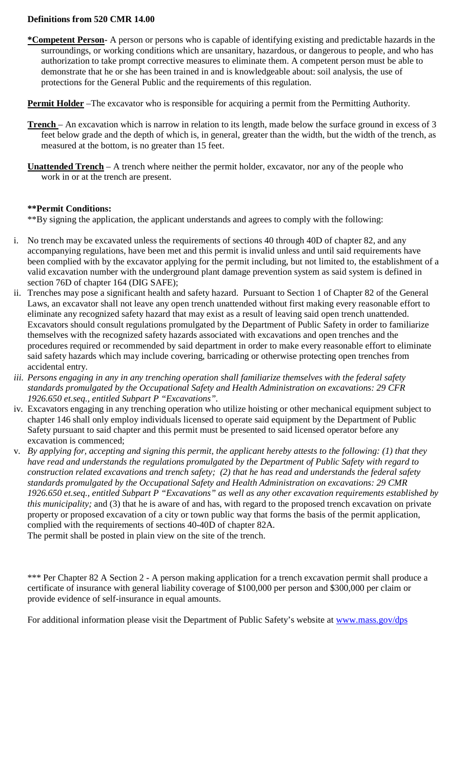## **Definitions from 520 CMR 14.00**

- **\*Competent Person** A person or persons who is capable of identifying existing and predictable hazards in the surroundings, or working conditions which are unsanitary, hazardous, or dangerous to people, and who has authorization to take prompt corrective measures to eliminate them. A competent person must be able to demonstrate that he or she has been trained in and is knowledgeable about: soil analysis, the use of protections for the General Public and the requirements of this regulation.
- **Permit Holder** –The excavator who is responsible for acquiring a permit from the Permitting Authority.
- **Trench**  An excavation which is narrow in relation to its length, made below the surface ground in excess of 3 feet below grade and the depth of which is, in general, greater than the width, but the width of the trench, as measured at the bottom, is no greater than 15 feet.
- **Unattended Trench** A trench where neither the permit holder, excavator, nor any of the people who work in or at the trench are present.

# **\*\*Permit Conditions:**

\*\*By signing the application, the applicant understands and agrees to comply with the following:

- i. No trench may be excavated unless the requirements of sections 40 through 40D of chapter 82, and any accompanying regulations, have been met and this permit is invalid unless and until said requirements have been complied with by the excavator applying for the permit including, but not limited to, the establishment of a valid excavation number with the underground plant damage prevention system as said system is defined in section 76D of chapter 164 (DIG SAFE);
- ii. Trenches may pose a significant health and safety hazard. Pursuant to Section 1 of Chapter 82 of the General Laws, an excavator shall not leave any open trench unattended without first making every reasonable effort to eliminate any recognized safety hazard that may exist as a result of leaving said open trench unattended. Excavators should consult regulations promulgated by the Department of Public Safety in order to familiarize themselves with the recognized safety hazards associated with excavations and open trenches and the procedures required or recommended by said department in order to make every reasonable effort to eliminate said safety hazards which may include covering, barricading or otherwise protecting open trenches from accidental entry.
- *iii. Persons engaging in any in any trenching operation shall familiarize themselves with the federal safety standards promulgated by the Occupational Safety and Health Administration on excavations: 29 CFR 1926.650 et.seq., entitled Subpart P "Excavations".*
- iv. Excavators engaging in any trenching operation who utilize hoisting or other mechanical equipment subject to chapter 146 shall only employ individuals licensed to operate said equipment by the Department of Public Safety pursuant to said chapter and this permit must be presented to said licensed operator before any excavation is commenced;
- v. *By applying for, accepting and signing this permit, the applicant hereby attests to the following: (1) that they have read and understands the regulations promulgated by the Department of Public Safety with regard to construction related excavations and trench safety; (2) that he has read and understands the federal safety standards promulgated by the Occupational Safety and Health Administration on excavations: 29 CMR 1926.650 et.seq., entitled Subpart P "Excavations" as well as any other excavation requirements established by this municipality;* and (3) that he is aware of and has, with regard to the proposed trench excavation on private property or proposed excavation of a city or town public way that forms the basis of the permit application, complied with the requirements of sections 40-40D of chapter 82A. The permit shall be posted in plain view on the site of the trench.

\*\*\* Per Chapter 82 A Section 2 - A person making application for a trench excavation permit shall produce a certificate of insurance with general liability coverage of \$100,000 per person and \$300,000 per claim or provide evidence of self-insurance in equal amounts.

For additional information please visit the Department of Public Safety's website at [www.mass.gov/dps](http://www.mass.gov/dps)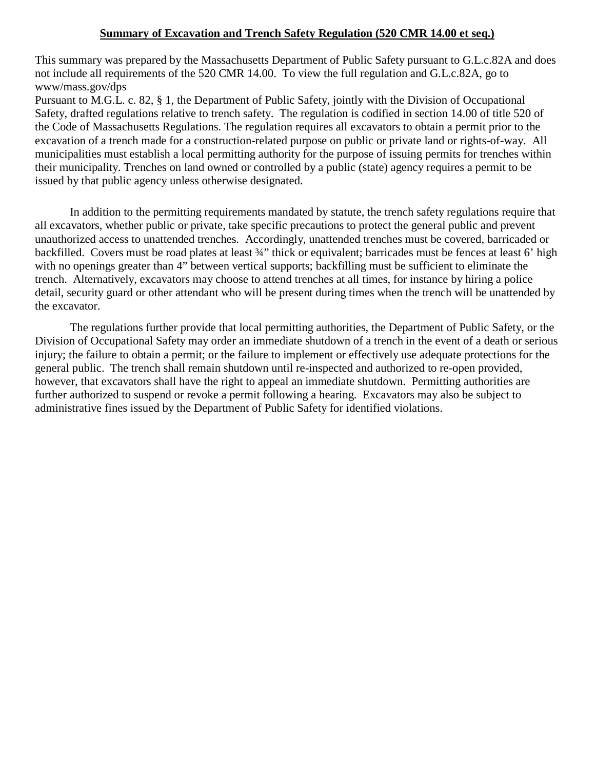## **Summary of Excavation and Trench Safety Regulation (520 CMR 14.00 et seq.)**

This summary was prepared by the Massachusetts Department of Public Safety pursuant to G.L.c.82A and does not include all requirements of the 520 CMR 14.00. To view the full regulation and G.L.c.82A, go to www/mass.gov/dps

Pursuant to M.G.L. c. 82, § 1, the Department of Public Safety, jointly with the Division of Occupational Safety, drafted regulations relative to trench safety. The regulation is codified in section 14.00 of title 520 of the Code of Massachusetts Regulations. The regulation requires all excavators to obtain a permit prior to the excavation of a trench made for a construction-related purpose on public or private land or rights-of-way. All municipalities must establish a local permitting authority for the purpose of issuing permits for trenches within their municipality. Trenches on land owned or controlled by a public (state) agency requires a permit to be issued by that public agency unless otherwise designated.

 In addition to the permitting requirements mandated by statute, the trench safety regulations require that all excavators, whether public or private, take specific precautions to protect the general public and prevent unauthorized access to unattended trenches. Accordingly, unattended trenches must be covered, barricaded or backfilled. Covers must be road plates at least  $\frac{3}{4}$ " thick or equivalent; barricades must be fences at least 6' high with no openings greater than 4" between vertical supports; backfilling must be sufficient to eliminate the trench. Alternatively, excavators may choose to attend trenches at all times, for instance by hiring a police detail, security guard or other attendant who will be present during times when the trench will be unattended by the excavator.

 The regulations further provide that local permitting authorities, the Department of Public Safety, or the Division of Occupational Safety may order an immediate shutdown of a trench in the event of a death or serious injury; the failure to obtain a permit; or the failure to implement or effectively use adequate protections for the general public. The trench shall remain shutdown until re-inspected and authorized to re-open provided, however, that excavators shall have the right to appeal an immediate shutdown. Permitting authorities are further authorized to suspend or revoke a permit following a hearing. Excavators may also be subject to administrative fines issued by the Department of Public Safety for identified violations.